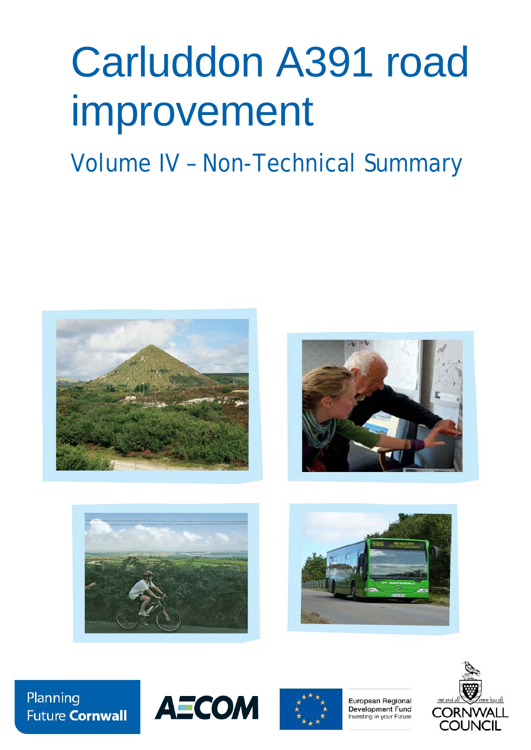# Carluddon A391 road improvement

# Volume IV – Non-Technical Summary









Planning **Future Cornwall** 





European Regional **Development Fund** Investing in your Future

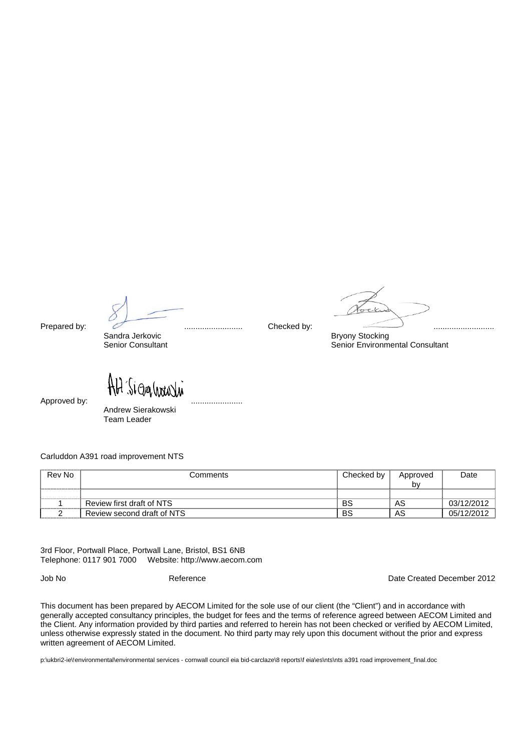Sandra Jerkovic **Bryony Stocking**<br>
Senior Consultant **Bryony Stocking**<br>
Senior Environm

Prepared by: .......................... Checked by: ...........................

Senior Environmental Consultant

Sigalinali

Approved by: .......................

Andrew Sierakowski Team Leader

Carluddon A391 road improvement NTS

| Rev No | Comments                   | Checked by | Approved | Date       |
|--------|----------------------------|------------|----------|------------|
|        |                            |            | b٧       |            |
|        |                            |            |          |            |
|        | Review first draft of NTS  | BS         | AS       | 03/12/2012 |
|        | Review second draft of NTS | BS         | AS       | 05/12/2012 |

3rd Floor, Portwall Place, Portwall Lane, Bristol, BS1 6NB Telephone: 0117 901 7000 Website: http://www.aecom.com

Job No Reference Date Created December 2012

This document has been prepared by AECOM Limited for the sole use of our client (the "Client") and in accordance with generally accepted consultancy principles, the budget for fees and the terms of reference agreed between AECOM Limited and the Client. Any information provided by third parties and referred to herein has not been checked or verified by AECOM Limited, unless otherwise expressly stated in the document. No third party may rely upon this document without the prior and express written agreement of AECOM Limited.

p:\ukbri2-ie\!environmental\environmental services - cornwall council eia bid-carclaze\8 reports\f eia\es\nts\nts a391 road improvement\_final.doc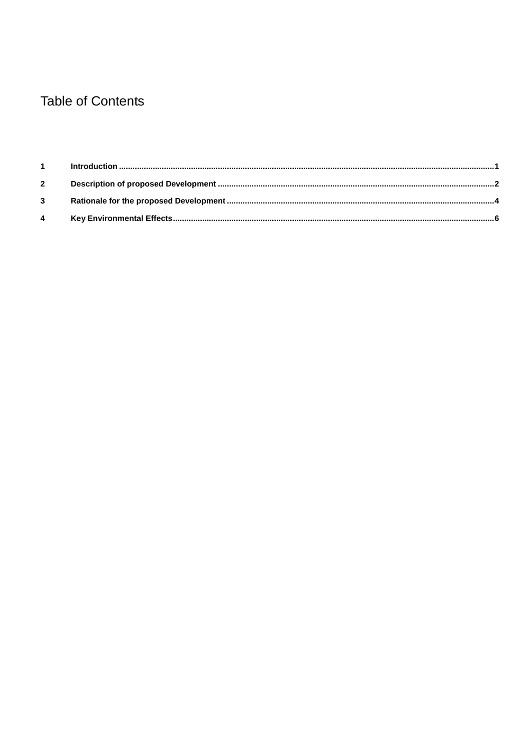# **Table of Contents**

| $1 -$       |  |
|-------------|--|
| $2^{\circ}$ |  |
|             |  |
| 4           |  |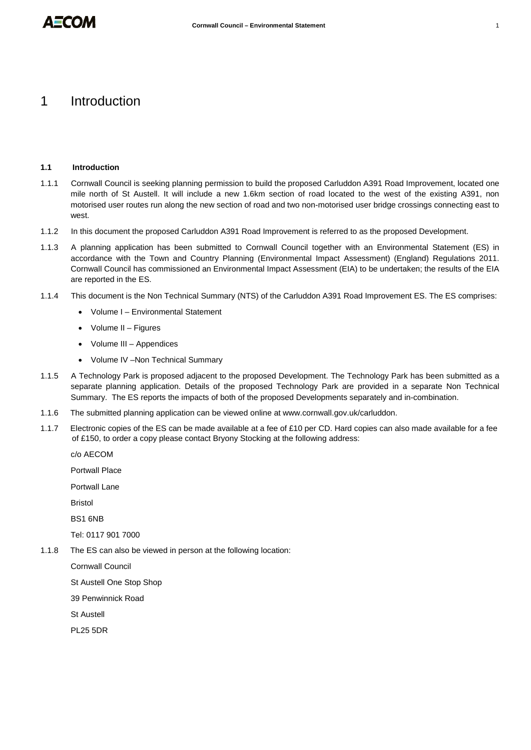# <span id="page-6-0"></span>1 Introduction

## **1.1 Introduction**

- 1.1.1 Cornwall Council is seeking planning permission to build the proposed Carluddon A391 Road Improvement, located one mile north of St Austell. It will include a new 1.6km section of road located to the west of the existing A391, non motorised user routes run along the new section of road and two non-motorised user bridge crossings connecting east to west.
- 1.1.2 In this document the proposed Carluddon A391 Road Improvement is referred to as the proposed Development.
- 1.1.3 A planning application has been submitted to Cornwall Council together with an Environmental Statement (ES) in accordance with the Town and Country Planning (Environmental Impact Assessment) (England) Regulations 2011. Cornwall Council has commissioned an Environmental Impact Assessment (EIA) to be undertaken; the results of the EIA are reported in the ES.
- 1.1.4 This document is the Non Technical Summary (NTS) of the Carluddon A391 Road Improvement ES. The ES comprises:
	- Volume I Environmental Statement
	- Volume II Figures
	- Volume III Appendices
	- Volume IV –Non Technical Summary
- 1.1.5 A Technology Park is proposed adjacent to the proposed Development. The Technology Park has been submitted as a separate planning application. Details of the proposed Technology Park are provided in a separate Non Technical Summary. The ES reports the impacts of both of the proposed Developments separately and in-combination.
- 1.1.6 The submitted planning application can be viewed online at www.cornwall.gov.uk/carluddon.
- 1.1.7 Electronic copies of the ES can be made available at a fee of £10 per CD. Hard copies can also made available for a fee of £150, to order a copy please contact Bryony Stocking at the following address:

c/o AECOM

Portwall Place

Portwall Lane

Bristol

BS1 6NB

Tel: 0117 901 7000

1.1.8 The ES can also be viewed in person at the following location:

Cornwall Council

St Austell One Stop Shop

39 Penwinnick Road

St Austell

PL25 5DR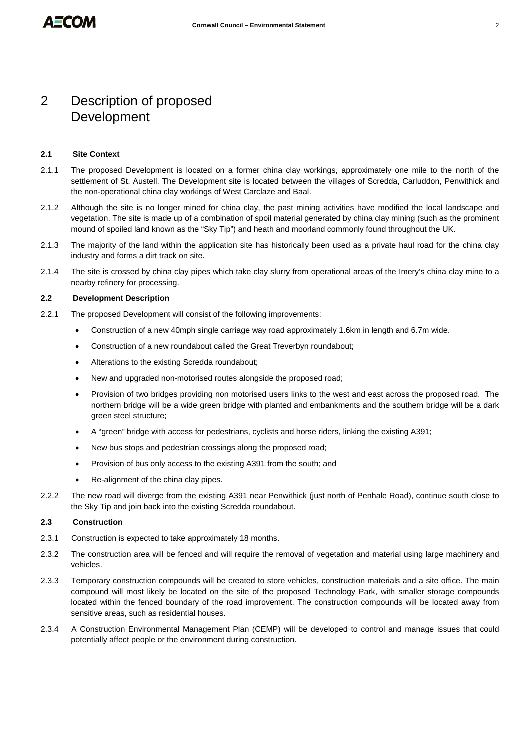# <span id="page-7-0"></span>2 Description of proposed Development

# **2.1 Site Context**

- 2.1.1 The proposed Development is located on a former china clay workings, approximately one mile to the north of the settlement of St. Austell. The Development site is located between the villages of Scredda, Carluddon, Penwithick and the non-operational china clay workings of West Carclaze and Baal.
- 2.1.2 Although the site is no longer mined for china clay, the past mining activities have modified the local landscape and vegetation. The site is made up of a combination of spoil material generated by china clay mining (such as the prominent mound of spoiled land known as the "Sky Tip") and heath and moorland commonly found throughout the UK.
- 2.1.3 The majority of the land within the application site has historically been used as a private haul road for the china clay industry and forms a dirt track on site.
- 2.1.4 The site is crossed by china clay pipes which take clay slurry from operational areas of the Imery's china clay mine to a nearby refinery for processing.

# **2.2 Development Description**

- 2.2.1 The proposed Development will consist of the following improvements:
	- Construction of a new 40mph single carriage way road approximately 1.6km in length and 6.7m wide.
	- Construction of a new roundabout called the Great Treverbyn roundabout;
	- Alterations to the existing Scredda roundabout;
	- New and upgraded non-motorised routes alongside the proposed road;
	- Provision of two bridges providing non motorised users links to the west and east across the proposed road. The northern bridge will be a wide green bridge with planted and embankments and the southern bridge will be a dark green steel structure;
	- A "green" bridge with access for pedestrians, cyclists and horse riders, linking the existing A391;
	- New bus stops and pedestrian crossings along the proposed road;
	- Provision of bus only access to the existing A391 from the south; and
	- Re-alignment of the china clay pipes.
- 2.2.2 The new road will diverge from the existing A391 near Penwithick (just north of Penhale Road), continue south close to the Sky Tip and join back into the existing Scredda roundabout.

# **2.3 Construction**

- 2.3.1 Construction is expected to take approximately 18 months.
- 2.3.2 The construction area will be fenced and will require the removal of vegetation and material using large machinery and vehicles.
- 2.3.3 Temporary construction compounds will be created to store vehicles, construction materials and a site office. The main compound will most likely be located on the site of the proposed Technology Park, with smaller storage compounds located within the fenced boundary of the road improvement. The construction compounds will be located away from sensitive areas, such as residential houses.
- 2.3.4 A Construction Environmental Management Plan (CEMP) will be developed to control and manage issues that could potentially affect people or the environment during construction.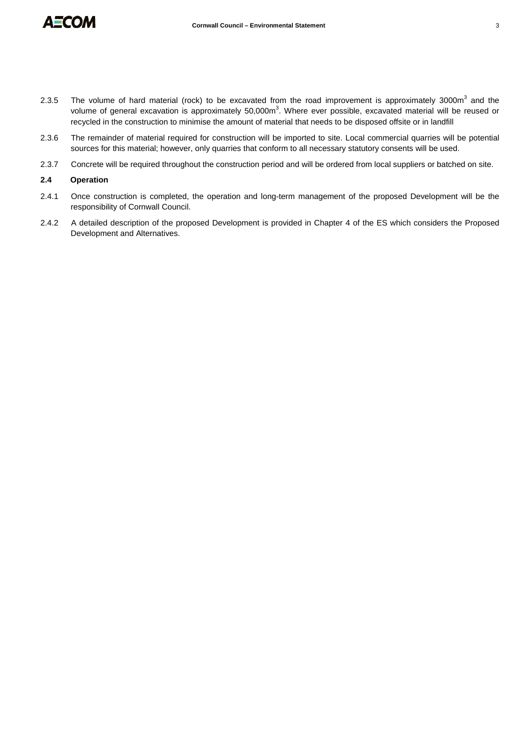

- 2.3.5 The volume of hard material (rock) to be excavated from the road improvement is approximately 3000 $m<sup>3</sup>$  and the volume of general excavation is approximately 50,000m<sup>3</sup>. Where ever possible, excavated material will be reused or recycled in the construction to minimise the amount of material that needs to be disposed offsite or in landfill
- 2.3.6 The remainder of material required for construction will be imported to site. Local commercial quarries will be potential sources for this material; however, only quarries that conform to all necessary statutory consents will be used.
- 2.3.7 Concrete will be required throughout the construction period and will be ordered from local suppliers or batched on site.

# **2.4 Operation**

- 2.4.1 Once construction is completed, the operation and long-term management of the proposed Development will be the responsibility of Cornwall Council.
- 2.4.2 A detailed description of the proposed Development is provided in Chapter 4 of the ES which considers the Proposed Development and Alternatives.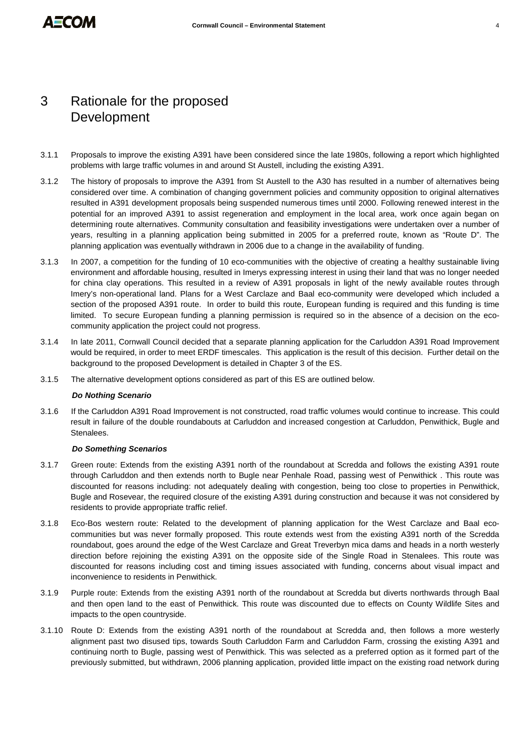# <span id="page-9-0"></span>3 Rationale for the proposed Development

- 3.1.1 Proposals to improve the existing A391 have been considered since the late 1980s, following a report which highlighted problems with large traffic volumes in and around St Austell, including the existing A391.
- 3.1.2 The history of proposals to improve the A391 from St Austell to the A30 has resulted in a number of alternatives being considered over time. A combination of changing government policies and community opposition to original alternatives resulted in A391 development proposals being suspended numerous times until 2000. Following renewed interest in the potential for an improved A391 to assist regeneration and employment in the local area, work once again began on determining route alternatives. Community consultation and feasibility investigations were undertaken over a number of years, resulting in a planning application being submitted in 2005 for a preferred route, known as "Route D". The planning application was eventually withdrawn in 2006 due to a change in the availability of funding.
- 3.1.3 In 2007, a competition for the funding of 10 eco-communities with the objective of creating a healthy sustainable living environment and affordable housing, resulted in Imerys expressing interest in using their land that was no longer needed for china clay operations. This resulted in a review of A391 proposals in light of the newly available routes through Imery's non-operational land. Plans for a West Carclaze and Baal eco-community were developed which included a section of the proposed A391 route. In order to build this route, European funding is required and this funding is time limited. To secure European funding a planning permission is required so in the absence of a decision on the ecocommunity application the project could not progress.
- 3.1.4 In late 2011, Cornwall Council decided that a separate planning application for the Carluddon A391 Road Improvement would be required, in order to meet ERDF timescales. This application is the result of this decision. Further detail on the background to the proposed Development is detailed in Chapter 3 of the ES.
- 3.1.5 The alternative development options considered as part of this ES are outlined below.

# *Do Nothing Scenario*

3.1.6 If the Carluddon A391 Road Improvement is not constructed, road traffic volumes would continue to increase. This could result in failure of the double roundabouts at Carluddon and increased congestion at Carluddon, Penwithick, Bugle and Stenalees.

### *Do Something Scenarios*

- 3.1.7 Green route: Extends from the existing A391 north of the roundabout at Scredda and follows the existing A391 route through Carluddon and then extends north to Bugle near Penhale Road, passing west of Penwithick . This route was discounted for reasons including: not adequately dealing with congestion, being too close to properties in Penwithick, Bugle and Rosevear, the required closure of the existing A391 during construction and because it was not considered by residents to provide appropriate traffic relief.
- 3.1.8 Eco-Bos western route: Related to the development of planning application for the West Carclaze and Baal ecocommunities but was never formally proposed. This route extends west from the existing A391 north of the Scredda roundabout, goes around the edge of the West Carclaze and Great Treverbyn mica dams and heads in a north westerly direction before rejoining the existing A391 on the opposite side of the Single Road in Stenalees. This route was discounted for reasons including cost and timing issues associated with funding, concerns about visual impact and inconvenience to residents in Penwithick.
- 3.1.9 Purple route: Extends from the existing A391 north of the roundabout at Scredda but diverts northwards through Baal and then open land to the east of Penwithick. This route was discounted due to effects on County Wildlife Sites and impacts to the open countryside.
- 3.1.10 Route D: Extends from the existing A391 north of the roundabout at Scredda and, then follows a more westerly alignment past two disused tips, towards South Carluddon Farm and Carluddon Farm, crossing the existing A391 and continuing north to Bugle, passing west of Penwithick. This was selected as a preferred option as it formed part of the previously submitted, but withdrawn, 2006 planning application, provided little impact on the existing road network during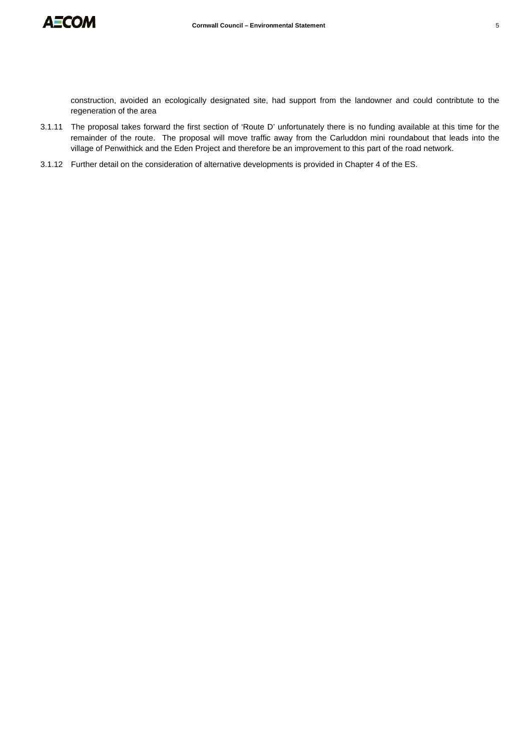

construction, avoided an ecologically designated site, had support from the landowner and could contribtute to the regeneration of the area

- 3.1.11 The proposal takes forward the first section of 'Route D' unfortunately there is no funding available at this time for the remainder of the route. The proposal will move traffic away from the Carluddon mini roundabout that leads into the village of Penwithick and the Eden Project and therefore be an improvement to this part of the road network.
- 3.1.12 Further detail on the consideration of alternative developments is provided in Chapter 4 of the ES.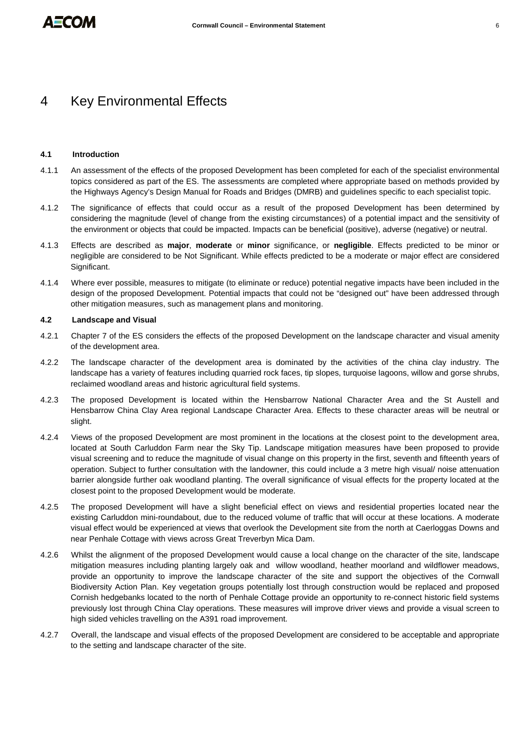# <span id="page-11-0"></span>4 Key Environmental Effects

# **4.1 Introduction**

- 4.1.1 An assessment of the effects of the proposed Development has been completed for each of the specialist environmental topics considered as part of the ES. The assessments are completed where appropriate based on methods provided by the Highways Agency's Design Manual for Roads and Bridges (DMRB) and guidelines specific to each specialist topic.
- 4.1.2 The significance of effects that could occur as a result of the proposed Development has been determined by considering the magnitude (level of change from the existing circumstances) of a potential impact and the sensitivity of the environment or objects that could be impacted. Impacts can be beneficial (positive), adverse (negative) or neutral.
- 4.1.3 Effects are described as **major**, **moderate** or **minor** significance, or **negligible**. Effects predicted to be minor or negligible are considered to be Not Significant. While effects predicted to be a moderate or major effect are considered Significant.
- 4.1.4 Where ever possible, measures to mitigate (to eliminate or reduce) potential negative impacts have been included in the design of the proposed Development. Potential impacts that could not be "designed out" have been addressed through other mitigation measures, such as management plans and monitoring.

# **4.2 Landscape and Visual**

- 4.2.1 Chapter 7 of the ES considers the effects of the proposed Development on the landscape character and visual amenity of the development area.
- 4.2.2 The landscape character of the development area is dominated by the activities of the china clay industry. The landscape has a variety of features including quarried rock faces, tip slopes, turquoise lagoons, willow and gorse shrubs, reclaimed woodland areas and historic agricultural field systems.
- 4.2.3 The proposed Development is located within the Hensbarrow National Character Area and the St Austell and Hensbarrow China Clay Area regional Landscape Character Area. Effects to these character areas will be neutral or slight.
- 4.2.4 Views of the proposed Development are most prominent in the locations at the closest point to the development area, located at South Carluddon Farm near the Sky Tip. Landscape mitigation measures have been proposed to provide visual screening and to reduce the magnitude of visual change on this property in the first, seventh and fifteenth years of operation. Subject to further consultation with the landowner, this could include a 3 metre high visual/ noise attenuation barrier alongside further oak woodland planting. The overall significance of visual effects for the property located at the closest point to the proposed Development would be moderate.
- 4.2.5 The proposed Development will have a slight beneficial effect on views and residential properties located near the existing Carluddon mini-roundabout, due to the reduced volume of traffic that will occur at these locations. A moderate visual effect would be experienced at views that overlook the Development site from the north at Caerloggas Downs and near Penhale Cottage with views across Great Treverbyn Mica Dam.
- 4.2.6 Whilst the alignment of the proposed Development would cause a local change on the character of the site, landscape mitigation measures including planting largely oak and willow woodland, heather moorland and wildflower meadows, provide an opportunity to improve the landscape character of the site and support the objectives of the Cornwall Biodiversity Action Plan. Key vegetation groups potentially lost through construction would be replaced and proposed Cornish hedgebanks located to the north of Penhale Cottage provide an opportunity to re-connect historic field systems previously lost through China Clay operations. These measures will improve driver views and provide a visual screen to high sided vehicles travelling on the A391 road improvement.
- 4.2.7 Overall, the landscape and visual effects of the proposed Development are considered to be acceptable and appropriate to the setting and landscape character of the site.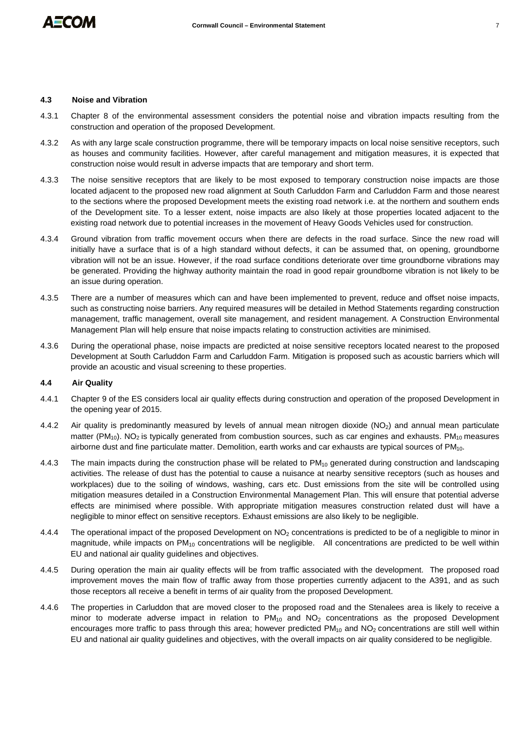

# **4.3 Noise and Vibration**

- 4.3.1 Chapter 8 of the environmental assessment considers the potential noise and vibration impacts resulting from the construction and operation of the proposed Development.
- 4.3.2 As with any large scale construction programme, there will be temporary impacts on local noise sensitive receptors, such as houses and community facilities. However, after careful management and mitigation measures, it is expected that construction noise would result in adverse impacts that are temporary and short term.
- 4.3.3 The noise sensitive receptors that are likely to be most exposed to temporary construction noise impacts are those located adjacent to the proposed new road alignment at South Carluddon Farm and Carluddon Farm and those nearest to the sections where the proposed Development meets the existing road network i.e. at the northern and southern ends of the Development site. To a lesser extent, noise impacts are also likely at those properties located adjacent to the existing road network due to potential increases in the movement of Heavy Goods Vehicles used for construction.
- 4.3.4 Ground vibration from traffic movement occurs when there are defects in the road surface. Since the new road will initially have a surface that is of a high standard without defects, it can be assumed that, on opening, groundborne vibration will not be an issue. However, if the road surface conditions deteriorate over time groundborne vibrations may be generated. Providing the highway authority maintain the road in good repair groundborne vibration is not likely to be an issue during operation.
- 4.3.5 There are a number of measures which can and have been implemented to prevent, reduce and offset noise impacts, such as constructing noise barriers. Any required measures will be detailed in Method Statements regarding construction management, traffic management, overall site management, and resident management. A Construction Environmental Management Plan will help ensure that noise impacts relating to construction activities are minimised.
- 4.3.6 During the operational phase, noise impacts are predicted at noise sensitive receptors located nearest to the proposed Development at South Carluddon Farm and Carluddon Farm. Mitigation is proposed such as acoustic barriers which will provide an acoustic and visual screening to these properties.

# **4.4 Air Quality**

- 4.4.1 Chapter 9 of the ES considers local air quality effects during construction and operation of the proposed Development in the opening year of 2015.
- 4.4.2 Air quality is predominantly measured by levels of annual mean nitrogen dioxide ( $NO<sub>2</sub>$ ) and annual mean particulate matter ( $PM_{10}$ ). NO<sub>2</sub> is typically generated from combustion sources, such as car engines and exhausts. PM<sub>10</sub> measures airborne dust and fine particulate matter. Demolition, earth works and car exhausts are typical sources of PM10.
- 4.4.3 The main impacts during the construction phase will be related to PM<sub>10</sub> generated during construction and landscaping activities. The release of dust has the potential to cause a nuisance at nearby sensitive receptors (such as houses and workplaces) due to the soiling of windows, washing, cars etc. Dust emissions from the site will be controlled using mitigation measures detailed in a Construction Environmental Management Plan. This will ensure that potential adverse effects are minimised where possible. With appropriate mitigation measures construction related dust will have a negligible to minor effect on sensitive receptors. Exhaust emissions are also likely to be negligible.
- 4.4.4 The operational impact of the proposed Development on NO<sub>2</sub> concentrations is predicted to be of a negligible to minor in magnitude, while impacts on  $PM_{10}$  concentrations will be negligible. All concentrations are predicted to be well within EU and national air quality guidelines and objectives.
- 4.4.5 During operation the main air quality effects will be from traffic associated with the development. The proposed road improvement moves the main flow of traffic away from those properties currently adjacent to the A391, and as such those receptors all receive a benefit in terms of air quality from the proposed Development.
- 4.4.6 The properties in Carluddon that are moved closer to the proposed road and the Stenalees area is likely to receive a minor to moderate adverse impact in relation to  $PM_{10}$  and  $NO<sub>2</sub>$  concentrations as the proposed Development encourages more traffic to pass through this area; however predicted  $PM_{10}$  and  $NO<sub>2</sub>$  concentrations are still well within EU and national air quality guidelines and objectives, with the overall impacts on air quality considered to be negligible.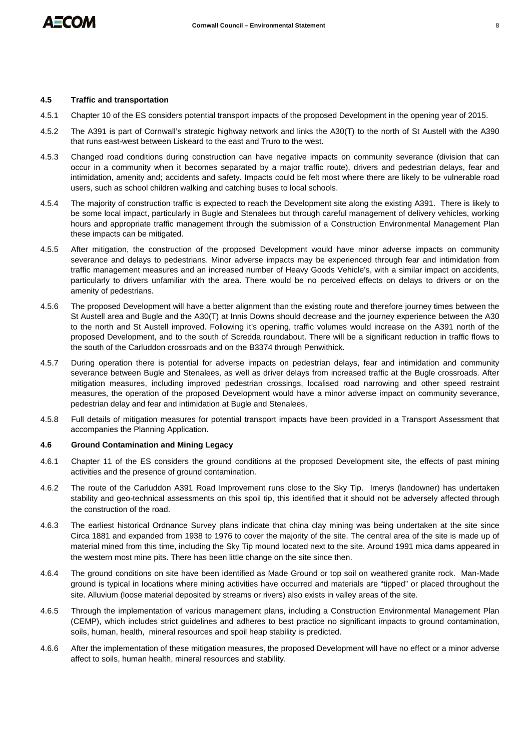

# **4.5 Traffic and transportation**

- 4.5.1 Chapter 10 of the ES considers potential transport impacts of the proposed Development in the opening year of 2015.
- 4.5.2 The A391 is part of Cornwall's strategic highway network and links the A30(T) to the north of St Austell with the A390 that runs east-west between Liskeard to the east and Truro to the west.
- 4.5.3 Changed road conditions during construction can have negative impacts on community severance (division that can occur in a community when it becomes separated by a major traffic route), drivers and pedestrian delays, fear and intimidation, amenity and; accidents and safety. Impacts could be felt most where there are likely to be vulnerable road users, such as school children walking and catching buses to local schools.
- 4.5.4 The majority of construction traffic is expected to reach the Development site along the existing A391. There is likely to be some local impact, particularly in Bugle and Stenalees but through careful management of delivery vehicles, working hours and appropriate traffic management through the submission of a Construction Environmental Management Plan these impacts can be mitigated.
- 4.5.5 After mitigation, the construction of the proposed Development would have minor adverse impacts on community severance and delays to pedestrians. Minor adverse impacts may be experienced through fear and intimidation from traffic management measures and an increased number of Heavy Goods Vehicle's, with a similar impact on accidents, particularly to drivers unfamiliar with the area. There would be no perceived effects on delays to drivers or on the amenity of pedestrians.
- 4.5.6 The proposed Development will have a better alignment than the existing route and therefore journey times between the St Austell area and Bugle and the A30(T) at Innis Downs should decrease and the journey experience between the A30 to the north and St Austell improved. Following it's opening, traffic volumes would increase on the A391 north of the proposed Development, and to the south of Scredda roundabout. There will be a significant reduction in traffic flows to the south of the Carluddon crossroads and on the B3374 through Penwithick.
- 4.5.7 During operation there is potential for adverse impacts on pedestrian delays, fear and intimidation and community severance between Bugle and Stenalees, as well as driver delays from increased traffic at the Bugle crossroads. After mitigation measures, including improved pedestrian crossings, localised road narrowing and other speed restraint measures, the operation of the proposed Development would have a minor adverse impact on community severance, pedestrian delay and fear and intimidation at Bugle and Stenalees,
- 4.5.8 Full details of mitigation measures for potential transport impacts have been provided in a Transport Assessment that accompanies the Planning Application.

# **4.6 Ground Contamination and Mining Legacy**

- 4.6.1 Chapter 11 of the ES considers the ground conditions at the proposed Development site, the effects of past mining activities and the presence of ground contamination.
- 4.6.2 The route of the Carluddon A391 Road Improvement runs close to the Sky Tip. Imerys (landowner) has undertaken stability and geo-technical assessments on this spoil tip, this identified that it should not be adversely affected through the construction of the road.
- 4.6.3 The earliest historical Ordnance Survey plans indicate that china clay mining was being undertaken at the site since Circa 1881 and expanded from 1938 to 1976 to cover the majority of the site. The central area of the site is made up of material mined from this time, including the Sky Tip mound located next to the site. Around 1991 mica dams appeared in the western most mine pits. There has been little change on the site since then.
- 4.6.4 The ground conditions on site have been identified as Made Ground or top soil on weathered granite rock. Man-Made ground is typical in locations where mining activities have occurred and materials are "tipped" or placed throughout the site. Alluvium (loose material deposited by streams or rivers) also exists in valley areas of the site.
- 4.6.5 Through the implementation of various management plans, including a Construction Environmental Management Plan (CEMP), which includes strict guidelines and adheres to best practice no significant impacts to ground contamination, soils, human, health, mineral resources and spoil heap stability is predicted.
- 4.6.6 After the implementation of these mitigation measures, the proposed Development will have no effect or a minor adverse affect to soils, human health, mineral resources and stability.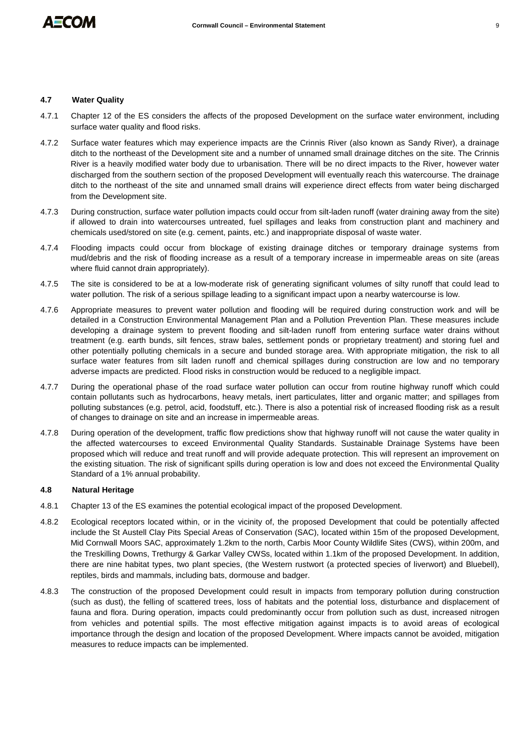# **4.7 Water Quality**

- 4.7.1 Chapter 12 of the ES considers the affects of the proposed Development on the surface water environment, including surface water quality and flood risks.
- 4.7.2 Surface water features which may experience impacts are the Crinnis River (also known as Sandy River), a drainage ditch to the northeast of the Development site and a number of unnamed small drainage ditches on the site. The Crinnis River is a heavily modified water body due to urbanisation. There will be no direct impacts to the River, however water discharged from the southern section of the proposed Development will eventually reach this watercourse. The drainage ditch to the northeast of the site and unnamed small drains will experience direct effects from water being discharged from the Development site.
- 4.7.3 During construction, surface water pollution impacts could occur from silt-laden runoff (water draining away from the site) if allowed to drain into watercourses untreated, fuel spillages and leaks from construction plant and machinery and chemicals used/stored on site (e.g. cement, paints, etc.) and inappropriate disposal of waste water.
- 4.7.4 Flooding impacts could occur from blockage of existing drainage ditches or temporary drainage systems from mud/debris and the risk of flooding increase as a result of a temporary increase in impermeable areas on site (areas where fluid cannot drain appropriately).
- 4.7.5 The site is considered to be at a low-moderate risk of generating significant volumes of silty runoff that could lead to water pollution. The risk of a serious spillage leading to a significant impact upon a nearby watercourse is low.
- 4.7.6 Appropriate measures to prevent water pollution and flooding will be required during construction work and will be detailed in a Construction Environmental Management Plan and a Pollution Prevention Plan. These measures include developing a drainage system to prevent flooding and silt-laden runoff from entering surface water drains without treatment (e.g. earth bunds, silt fences, straw bales, settlement ponds or proprietary treatment) and storing fuel and other potentially polluting chemicals in a secure and bunded storage area. With appropriate mitigation, the risk to all surface water features from silt laden runoff and chemical spillages during construction are low and no temporary adverse impacts are predicted. Flood risks in construction would be reduced to a negligible impact.
- 4.7.7 During the operational phase of the road surface water pollution can occur from routine highway runoff which could contain pollutants such as hydrocarbons, heavy metals, inert particulates, litter and organic matter; and spillages from polluting substances (e.g. petrol, acid, foodstuff, etc.). There is also a potential risk of increased flooding risk as a result of changes to drainage on site and an increase in impermeable areas.
- 4.7.8 During operation of the development, traffic flow predictions show that highway runoff will not cause the water quality in the affected watercourses to exceed Environmental Quality Standards. Sustainable Drainage Systems have been proposed which will reduce and treat runoff and will provide adequate protection. This will represent an improvement on the existing situation. The risk of significant spills during operation is low and does not exceed the Environmental Quality Standard of a 1% annual probability.

# **4.8 Natural Heritage**

- 4.8.1 Chapter 13 of the ES examines the potential ecological impact of the proposed Development.
- 4.8.2 Ecological receptors located within, or in the vicinity of, the proposed Development that could be potentially affected include the St Austell Clay Pits Special Areas of Conservation (SAC), located within 15m of the proposed Development, Mid Cornwall Moors SAC, approximately 1.2km to the north, Carbis Moor County Wildlife Sites (CWS), within 200m, and the Treskilling Downs, Trethurgy & Garkar Valley CWSs, located within 1.1km of the proposed Development. In addition, there are nine habitat types, two plant species, (the Western rustwort (a protected species of liverwort) and Bluebell), reptiles, birds and mammals, including bats, dormouse and badger.
- 4.8.3 The construction of the proposed Development could result in impacts from temporary pollution during construction (such as dust), the felling of scattered trees, loss of habitats and the potential loss, disturbance and displacement of fauna and flora. During operation, impacts could predominantly occur from pollution such as dust, increased nitrogen from vehicles and potential spills. The most effective mitigation against impacts is to avoid areas of ecological importance through the design and location of the proposed Development. Where impacts cannot be avoided, mitigation measures to reduce impacts can be implemented.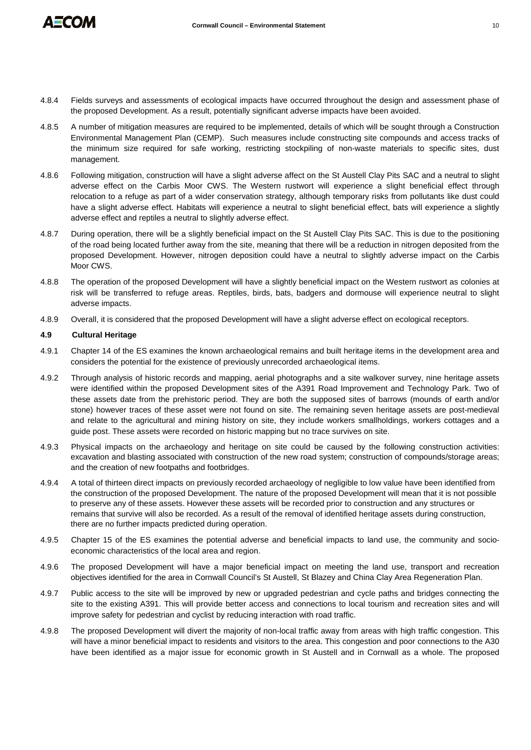

- 4.8.4 Fields surveys and assessments of ecological impacts have occurred throughout the design and assessment phase of the proposed Development. As a result, potentially significant adverse impacts have been avoided.
- 4.8.5 A number of mitigation measures are required to be implemented, details of which will be sought through a Construction Environmental Management Plan (CEMP). Such measures include constructing site compounds and access tracks of the minimum size required for safe working, restricting stockpiling of non-waste materials to specific sites, dust management.
- 4.8.6 Following mitigation, construction will have a slight adverse affect on the St Austell Clay Pits SAC and a neutral to slight adverse effect on the Carbis Moor CWS. The Western rustwort will experience a slight beneficial effect through relocation to a refuge as part of a wider conservation strategy, although temporary risks from pollutants like dust could have a slight adverse effect. Habitats will experience a neutral to slight beneficial effect, bats will experience a slightly adverse effect and reptiles a neutral to slightly adverse effect.
- 4.8.7 During operation, there will be a slightly beneficial impact on the St Austell Clay Pits SAC. This is due to the positioning of the road being located further away from the site, meaning that there will be a reduction in nitrogen deposited from the proposed Development. However, nitrogen deposition could have a neutral to slightly adverse impact on the Carbis Moor CWS.
- 4.8.8 The operation of the proposed Development will have a slightly beneficial impact on the Western rustwort as colonies at risk will be transferred to refuge areas. Reptiles, birds, bats, badgers and dormouse will experience neutral to slight adverse impacts.
- 4.8.9 Overall, it is considered that the proposed Development will have a slight adverse effect on ecological receptors.

# **4.9 Cultural Heritage**

- 4.9.1 Chapter 14 of the ES examines the known archaeological remains and built heritage items in the development area and considers the potential for the existence of previously unrecorded archaeological items.
- 4.9.2 Through analysis of historic records and mapping, aerial photographs and a site walkover survey, nine heritage assets were identified within the proposed Development sites of the A391 Road Improvement and Technology Park. Two of these assets date from the prehistoric period. They are both the supposed sites of barrows (mounds of earth and/or stone) however traces of these asset were not found on site. The remaining seven heritage assets are post-medieval and relate to the agricultural and mining history on site, they include workers smallholdings, workers cottages and a guide post. These assets were recorded on historic mapping but no trace survives on site.
- 4.9.3 Physical impacts on the archaeology and heritage on site could be caused by the following construction activities: excavation and blasting associated with construction of the new road system; construction of compounds/storage areas; and the creation of new footpaths and footbridges.
- 4.9.4 A total of thirteen direct impacts on previously recorded archaeology of negligible to low value have been identified from the construction of the proposed Development. The nature of the proposed Development will mean that it is not possible to preserve any of these assets. However these assets will be recorded prior to construction and any structures or remains that survive will also be recorded. As a result of the removal of identified heritage assets during construction, there are no further impacts predicted during operation.
- 4.9.5 Chapter 15 of the ES examines the potential adverse and beneficial impacts to land use, the community and socioeconomic characteristics of the local area and region.
- 4.9.6 The proposed Development will have a major beneficial impact on meeting the land use, transport and recreation objectives identified for the area in Cornwall Council's St Austell, St Blazey and China Clay Area Regeneration Plan.
- 4.9.7 Public access to the site will be improved by new or upgraded pedestrian and cycle paths and bridges connecting the site to the existing A391. This will provide better access and connections to local tourism and recreation sites and will improve safety for pedestrian and cyclist by reducing interaction with road traffic.
- 4.9.8 The proposed Development will divert the majority of non-local traffic away from areas with high traffic congestion. This will have a minor beneficial impact to residents and visitors to the area. This congestion and poor connections to the A30 have been identified as a major issue for economic growth in St Austell and in Cornwall as a whole. The proposed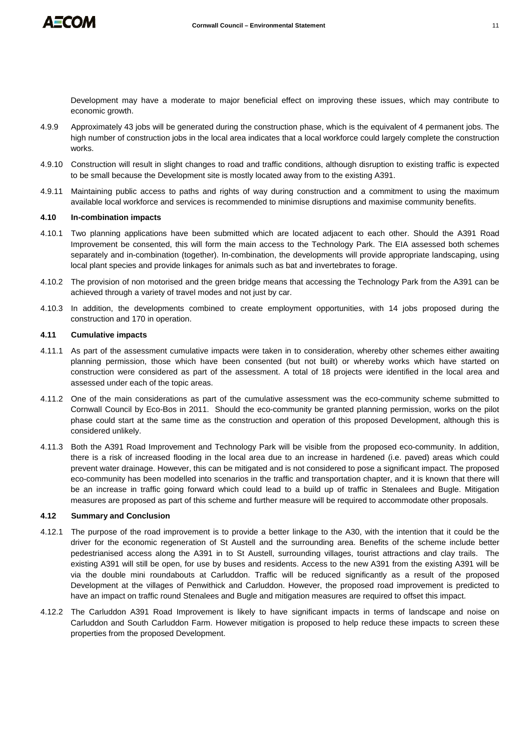

Development may have a moderate to major beneficial effect on improving these issues, which may contribute to economic growth.

- 4.9.9 Approximately 43 jobs will be generated during the construction phase, which is the equivalent of 4 permanent jobs. The high number of construction jobs in the local area indicates that a local workforce could largely complete the construction works.
- 4.9.10 Construction will result in slight changes to road and traffic conditions, although disruption to existing traffic is expected to be small because the Development site is mostly located away from to the existing A391.
- 4.9.11 Maintaining public access to paths and rights of way during construction and a commitment to using the maximum available local workforce and services is recommended to minimise disruptions and maximise community benefits.

### **4.10 In-combination impacts**

- 4.10.1 Two planning applications have been submitted which are located adjacent to each other. Should the A391 Road Improvement be consented, this will form the main access to the Technology Park. The EIA assessed both schemes separately and in-combination (together). In-combination, the developments will provide appropriate landscaping, using local plant species and provide linkages for animals such as bat and invertebrates to forage.
- 4.10.2 The provision of non motorised and the green bridge means that accessing the Technology Park from the A391 can be achieved through a variety of travel modes and not just by car.
- 4.10.3 In addition, the developments combined to create employment opportunities, with 14 jobs proposed during the construction and 170 in operation.

### **4.11 Cumulative impacts**

- 4.11.1 As part of the assessment cumulative impacts were taken in to consideration, whereby other schemes either awaiting planning permission, those which have been consented (but not built) or whereby works which have started on construction were considered as part of the assessment. A total of 18 projects were identified in the local area and assessed under each of the topic areas.
- 4.11.2 One of the main considerations as part of the cumulative assessment was the eco-community scheme submitted to Cornwall Council by Eco-Bos in 2011. Should the eco-community be granted planning permission, works on the pilot phase could start at the same time as the construction and operation of this proposed Development, although this is considered unlikely.
- 4.11.3 Both the A391 Road Improvement and Technology Park will be visible from the proposed eco-community. In addition, there is a risk of increased flooding in the local area due to an increase in hardened (i.e. paved) areas which could prevent water drainage. However, this can be mitigated and is not considered to pose a significant impact. The proposed eco-community has been modelled into scenarios in the traffic and transportation chapter, and it is known that there will be an increase in traffic going forward which could lead to a build up of traffic in Stenalees and Bugle. Mitigation measures are proposed as part of this scheme and further measure will be required to accommodate other proposals.

# **4.12 Summary and Conclusion**

- 4.12.1 The purpose of the road improvement is to provide a better linkage to the A30, with the intention that it could be the driver for the economic regeneration of St Austell and the surrounding area. Benefits of the scheme include better pedestrianised access along the A391 in to St Austell, surrounding villages, tourist attractions and clay trails. The existing A391 will still be open, for use by buses and residents. Access to the new A391 from the existing A391 will be via the double mini roundabouts at Carluddon. Traffic will be reduced significantly as a result of the proposed Development at the villages of Penwithick and Carluddon. However, the proposed road improvement is predicted to have an impact on traffic round Stenalees and Bugle and mitigation measures are required to offset this impact.
- 4.12.2 The Carluddon A391 Road Improvement is likely to have significant impacts in terms of landscape and noise on Carluddon and South Carluddon Farm. However mitigation is proposed to help reduce these impacts to screen these properties from the proposed Development.